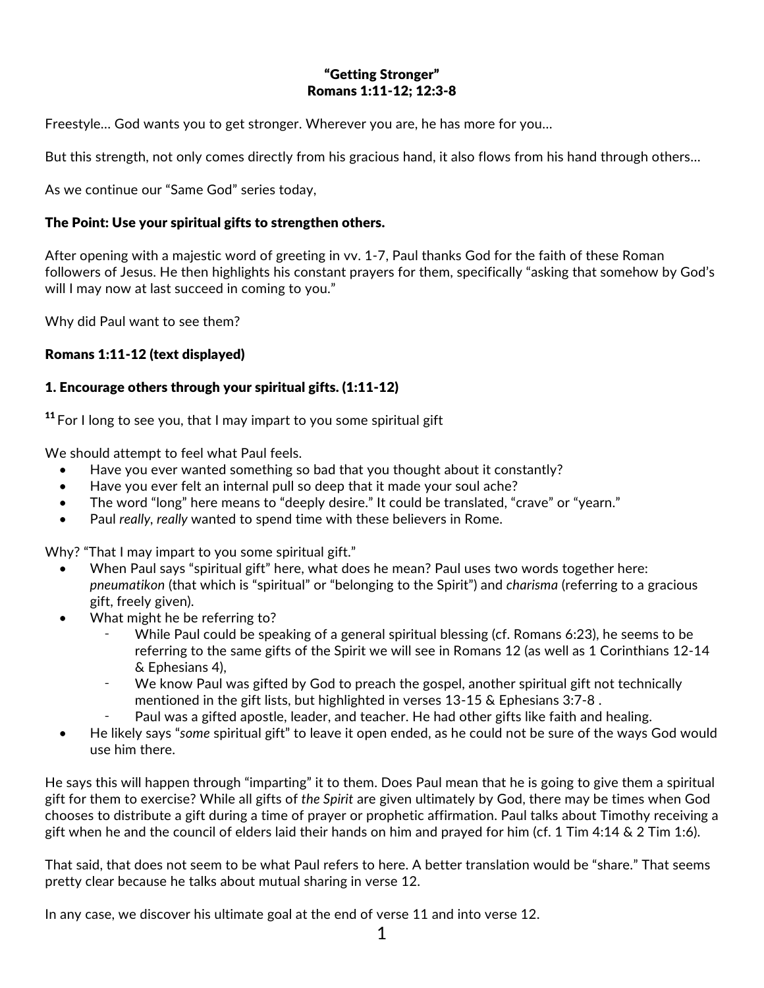## "Getting Stronger" Romans 1:11-12; 12:3-8

Freestyle… God wants you to get stronger. Wherever you are, he has more for you…

But this strength, not only comes directly from his gracious hand, it also flows from his hand through others…

As we continue our "Same God" series today,

#### The Point: Use your spiritual gifts to strengthen others.

After opening with a majestic word of greeting in vv. 1-7, Paul thanks God for the faith of these Roman followers of Jesus. He then highlights his constant prayers for them, specifically "asking that somehow by God's will I may now at last succeed in coming to you."

Why did Paul want to see them?

### Romans 1:11-12 (text displayed)

### 1. Encourage others through your spiritual gifts. (1:11-12)

 $11$  For I long to see you, that I may impart to you some spiritual gift

We should attempt to feel what Paul feels.

- Have you ever wanted something so bad that you thought about it constantly?
- Have you ever felt an internal pull so deep that it made your soul ache?
- The word "long" here means to "deeply desire." It could be translated, "crave" or "yearn."
- Paul *really, really* wanted to spend time with these believers in Rome.

Why? "That I may impart to you some spiritual gift."

- When Paul says "spiritual gift" here, what does he mean? Paul uses two words together here: *pneumatikon* (that which is "spiritual" or "belonging to the Spirit") and *charisma* (referring to a gracious gift, freely given).
- What might he be referring to?
	- While Paul could be speaking of a general spiritual blessing (cf. Romans 6:23), he seems to be referring to the same gifts of the Spirit we will see in Romans 12 (as well as 1 Corinthians 12-14 & Ephesians 4),
	- We know Paul was gifted by God to preach the gospel, another spiritual gift not technically mentioned in the gift lists, but highlighted in verses 13-15 & Ephesians 3:7-8 .
	- Paul was a gifted apostle, leader, and teacher. He had other gifts like faith and healing.
- He likely says "*some* spiritual gift" to leave it open ended, as he could not be sure of the ways God would use him there.

He says this will happen through "imparting" it to them. Does Paul mean that he is going to give them a spiritual gift for them to exercise? While all gifts of *the Spirit* are given ultimately by God, there may be times when God chooses to distribute a gift during a time of prayer or prophetic affirmation. Paul talks about Timothy receiving a gift when he and the council of elders laid their hands on him and prayed for him (cf. 1 Tim 4:14  $\&$  2 Tim 1:6).

That said, that does not seem to be what Paul refers to here. A better translation would be "share." That seems pretty clear because he talks about mutual sharing in verse 12.

In any case, we discover his ultimate goal at the end of verse 11 and into verse 12.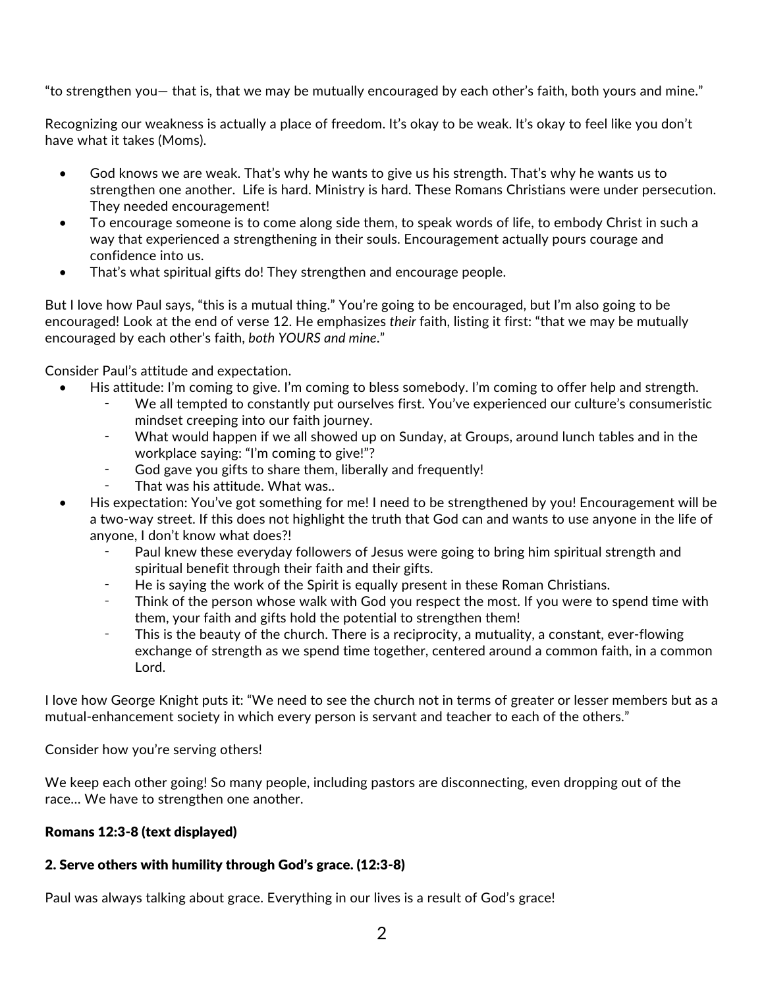"to strengthen you— that is, that we may be mutually encouraged by each other's faith, both yours and mine."

Recognizing our weakness is actually a place of freedom. It's okay to be weak. It's okay to feel like you don't have what it takes (Moms).

- God knows we are weak. That's why he wants to give us his strength. That's why he wants us to strengthen one another. Life is hard. Ministry is hard. These Romans Christians were under persecution. They needed encouragement!
- To encourage someone is to come along side them, to speak words of life, to embody Christ in such a way that experienced a strengthening in their souls. Encouragement actually pours courage and confidence into us.
- That's what spiritual gifts do! They strengthen and encourage people.

But I love how Paul says, "this is a mutual thing." You're going to be encouraged, but I'm also going to be encouraged! Look at the end of verse 12. He emphasizes *their* faith, listing it first: "that we may be mutually encouraged by each other's faith, *both YOURS and mine*."

Consider Paul's attitude and expectation.

- His attitude: I'm coming to give. I'm coming to bless somebody. I'm coming to offer help and strength.
	- We all tempted to constantly put ourselves first. You've experienced our culture's consumeristic mindset creeping into our faith journey.
	- ⁃ What would happen if we all showed up on Sunday, at Groups, around lunch tables and in the workplace saying: "I'm coming to give!"?
	- ⁃ God gave you gifts to share them, liberally and frequently!
	- That was his attitude. What was..
- His expectation: You've got something for me! I need to be strengthened by you! Encouragement will be a two-way street. If this does not highlight the truth that God can and wants to use anyone in the life of anyone, I don't know what does?!
	- Paul knew these everyday followers of Jesus were going to bring him spiritual strength and spiritual benefit through their faith and their gifts.
	- He is saying the work of the Spirit is equally present in these Roman Christians.
	- Think of the person whose walk with God you respect the most. If you were to spend time with them, your faith and gifts hold the potential to strengthen them!
	- This is the beauty of the church. There is a reciprocity, a mutuality, a constant, ever-flowing exchange of strength as we spend time together, centered around a common faith, in a common Lord.

I love how George Knight puts it: "We need to see the church not in terms of greater or lesser members but as a mutual-enhancement society in which every person is servant and teacher to each of the others."

Consider how you're serving others!

We keep each other going! So many people, including pastors are disconnecting, even dropping out of the race… We have to strengthen one another.

# Romans 12:3-8 (text displayed)

# 2. Serve others with humility through God's grace. (12:3-8)

Paul was always talking about grace. Everything in our lives is a result of God's grace!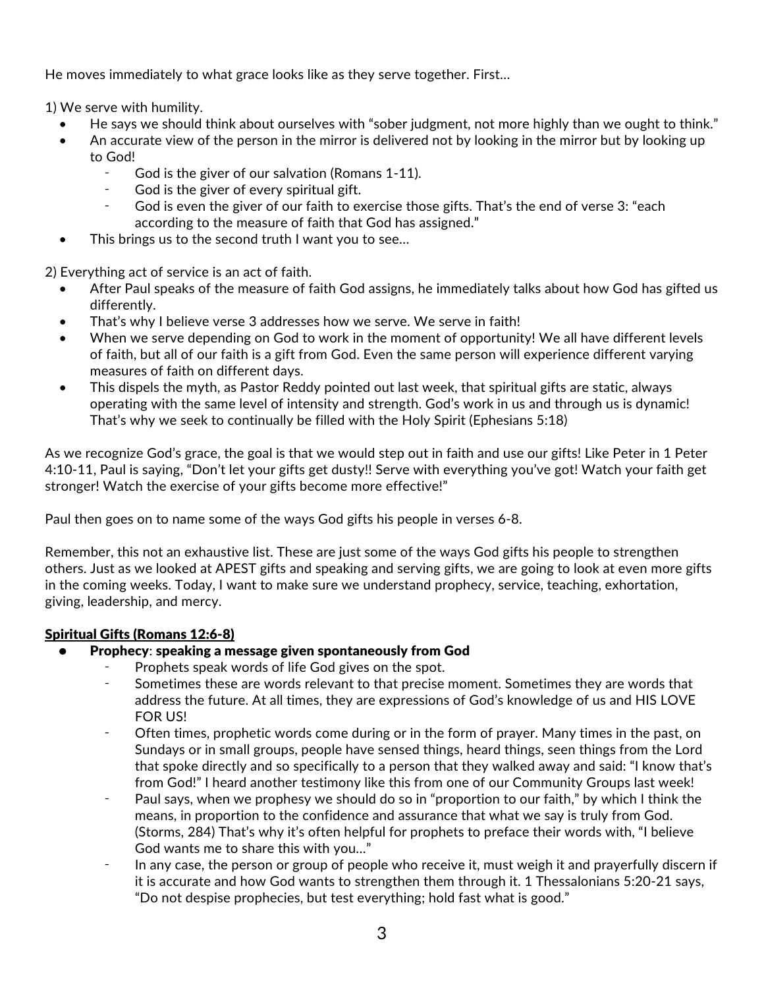He moves immediately to what grace looks like as they serve together. First…

1) We serve with humility.

- He says we should think about ourselves with "sober judgment, not more highly than we ought to think."
- An accurate view of the person in the mirror is delivered not by looking in the mirror but by looking up to God!
	- God is the giver of our salvation (Romans 1-11).
	- ⁃ God is the giver of every spiritual gift.
	- God is even the giver of our faith to exercise those gifts. That's the end of verse 3: "each according to the measure of faith that God has assigned."
- This brings us to the second truth I want you to see...

2) Everything act of service is an act of faith.

- After Paul speaks of the measure of faith God assigns, he immediately talks about how God has gifted us differently.
- That's why I believe verse 3 addresses how we serve. We serve in faith!
- When we serve depending on God to work in the moment of opportunity! We all have different levels of faith, but all of our faith is a gift from God. Even the same person will experience different varying measures of faith on different days.
- This dispels the myth, as Pastor Reddy pointed out last week, that spiritual gifts are static, always operating with the same level of intensity and strength. God's work in us and through us is dynamic! That's why we seek to continually be filled with the Holy Spirit (Ephesians 5:18)

As we recognize God's grace, the goal is that we would step out in faith and use our gifts! Like Peter in 1 Peter 4:10-11, Paul is saying, "Don't let your gifts get dusty!! Serve with everything you've got! Watch your faith get stronger! Watch the exercise of your gifts become more effective!"

Paul then goes on to name some of the ways God gifts his people in verses 6-8.

Remember, this not an exhaustive list. These are just some of the ways God gifts his people to strengthen others. Just as we looked at APEST gifts and speaking and serving gifts, we are going to look at even more gifts in the coming weeks. Today, I want to make sure we understand prophecy, service, teaching, exhortation, giving, leadership, and mercy.

# Spiritual Gifts (Romans 12:6-8)

- Prophecy: speaking a message given spontaneously from God
	- Prophets speak words of life God gives on the spot.
	- Sometimes these are words relevant to that precise moment. Sometimes they are words that address the future. At all times, they are expressions of God's knowledge of us and HIS LOVE FOR US!
	- Often times, prophetic words come during or in the form of prayer. Many times in the past, on Sundays or in small groups, people have sensed things, heard things, seen things from the Lord that spoke directly and so specifically to a person that they walked away and said: "I know that's from God!" I heard another testimony like this from one of our Community Groups last week!
	- ⁃ Paul says, when we prophesy we should do so in "proportion to our faith," by which I think the means, in proportion to the confidence and assurance that what we say is truly from God. (Storms, 284) That's why it's often helpful for prophets to preface their words with, "I believe God wants me to share this with you…"
	- ⁃ In any case, the person or group of people who receive it, must weigh it and prayerfully discern if it is accurate and how God wants to strengthen them through it. 1 Thessalonians 5:20-21 says, "Do not despise prophecies, but test everything; hold fast what is good."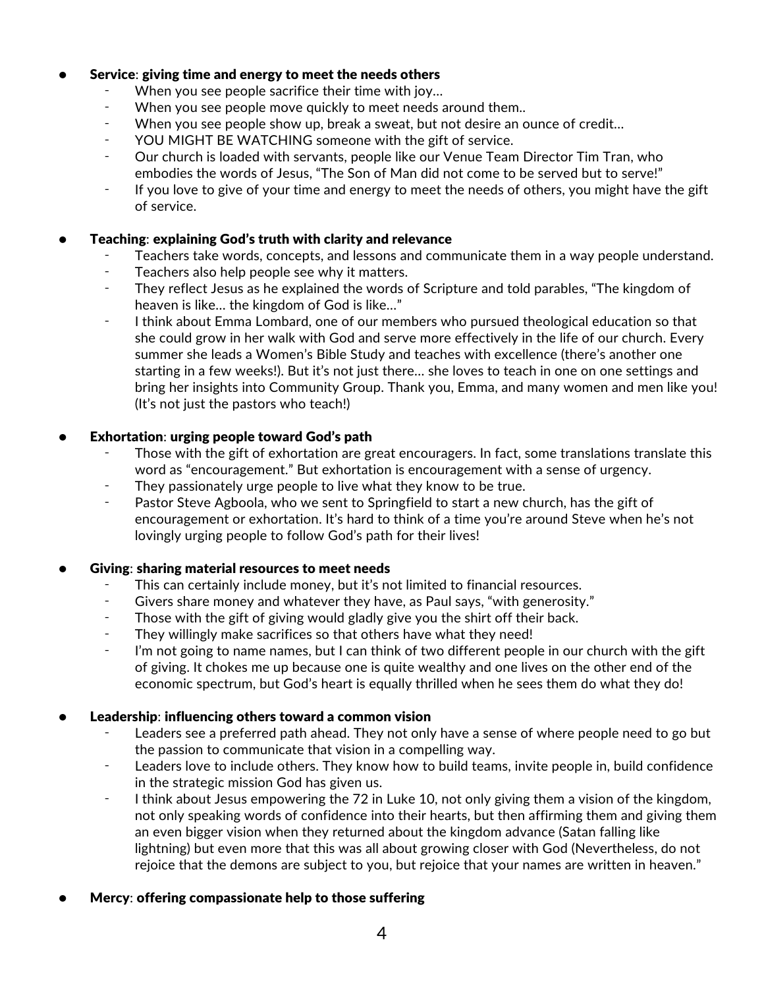### Service: giving time and energy to meet the needs others

- When you see people sacrifice their time with joy...
- ⁃ When you see people move quickly to meet needs around them..
- When you see people show up, break a sweat, but not desire an ounce of credit...
- YOU MIGHT BE WATCHING someone with the gift of service.
- Our church is loaded with servants, people like our Venue Team Director Tim Tran, who embodies the words of Jesus, "The Son of Man did not come to be served but to serve!"
- ⁃ If you love to give of your time and energy to meet the needs of others, you might have the gift of service.

#### • Teaching: explaining God's truth with clarity and relevance

- Teachers take words, concepts, and lessons and communicate them in a way people understand.
- ⁃ Teachers also help people see why it matters.
- ⁃ They reflect Jesus as he explained the words of Scripture and told parables, "The kingdom of heaven is like… the kingdom of God is like…"
- ⁃ I think about Emma Lombard, one of our members who pursued theological education so that she could grow in her walk with God and serve more effectively in the life of our church. Every summer she leads a Women's Bible Study and teaches with excellence (there's another one starting in a few weeks!). But it's not just there… she loves to teach in one on one settings and bring her insights into Community Group. Thank you, Emma, and many women and men like you! (It's not just the pastors who teach!)

### • Exhortation: urging people toward God's path

- Those with the gift of exhortation are great encouragers. In fact, some translations translate this word as "encouragement." But exhortation is encouragement with a sense of urgency.
- They passionately urge people to live what they know to be true.
- Pastor Steve Agboola, who we sent to Springfield to start a new church, has the gift of encouragement or exhortation. It's hard to think of a time you're around Steve when he's not lovingly urging people to follow God's path for their lives!

#### • Giving: sharing material resources to meet needs

- This can certainly include money, but it's not limited to financial resources.
- ⁃ Givers share money and whatever they have, as Paul says, "with generosity."
- Those with the gift of giving would gladly give you the shirt off their back.
- They willingly make sacrifices so that others have what they need!
- I'm not going to name names, but I can think of two different people in our church with the gift of giving. It chokes me up because one is quite wealthy and one lives on the other end of the economic spectrum, but God's heart is equally thrilled when he sees them do what they do!

#### Leadership: influencing others toward a common vision

- Leaders see a preferred path ahead. They not only have a sense of where people need to go but the passion to communicate that vision in a compelling way.
- Leaders love to include others. They know how to build teams, invite people in, build confidence in the strategic mission God has given us.
- ⁃ I think about Jesus empowering the 72 in Luke 10, not only giving them a vision of the kingdom, not only speaking words of confidence into their hearts, but then affirming them and giving them an even bigger vision when they returned about the kingdom advance (Satan falling like lightning) but even more that this was all about growing closer with God (Nevertheless, do not rejoice that the demons are subject to you, but rejoice that your names are written in heaven."
- Mercy: offering compassionate help to those suffering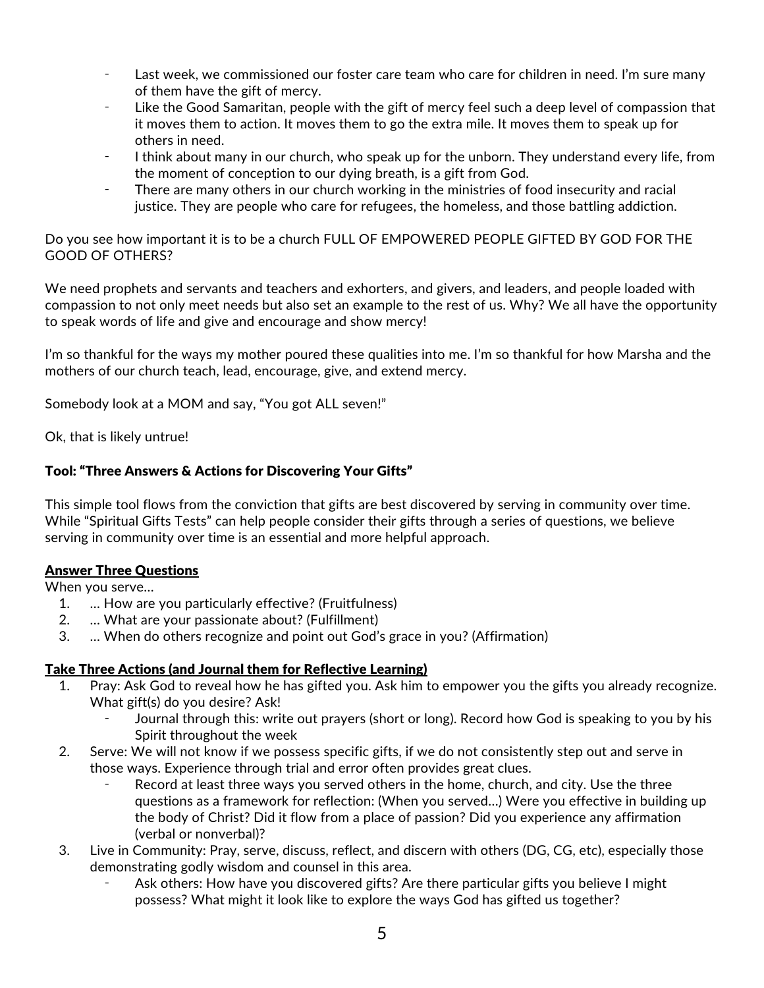- ⁃ Last week, we commissioned our foster care team who care for children in need. I'm sure many of them have the gift of mercy.
- Like the Good Samaritan, people with the gift of mercy feel such a deep level of compassion that it moves them to action. It moves them to go the extra mile. It moves them to speak up for others in need.
- I think about many in our church, who speak up for the unborn. They understand every life, from the moment of conception to our dying breath, is a gift from God.
- There are many others in our church working in the ministries of food insecurity and racial justice. They are people who care for refugees, the homeless, and those battling addiction.

Do you see how important it is to be a church FULL OF EMPOWERED PEOPLE GIFTED BY GOD FOR THE GOOD OF OTHERS?

We need prophets and servants and teachers and exhorters, and givers, and leaders, and people loaded with compassion to not only meet needs but also set an example to the rest of us. Why? We all have the opportunity to speak words of life and give and encourage and show mercy!

I'm so thankful for the ways my mother poured these qualities into me. I'm so thankful for how Marsha and the mothers of our church teach, lead, encourage, give, and extend mercy.

Somebody look at a MOM and say, "You got ALL seven!"

Ok, that is likely untrue!

# Tool: "Three Answers & Actions for Discovering Your Gifts"

This simple tool flows from the conviction that gifts are best discovered by serving in community over time. While "Spiritual Gifts Tests" can help people consider their gifts through a series of questions, we believe serving in community over time is an essential and more helpful approach.

# Answer Three Questions

When you serve…

- 1. … How are you particularly effective? (Fruitfulness)
- 2. … What are your passionate about? (Fulfillment)
- 3. … When do others recognize and point out God's grace in you? (Affirmation)

# Take Three Actions (and Journal them for Reflective Learning)

- 1. Pray: Ask God to reveal how he has gifted you. Ask him to empower you the gifts you already recognize. What gift(s) do you desire? Ask!
	- Journal through this: write out prayers (short or long). Record how God is speaking to you by his Spirit throughout the week
- 2. Serve: We will not know if we possess specific gifts, if we do not consistently step out and serve in those ways. Experience through trial and error often provides great clues.
	- Record at least three ways you served others in the home, church, and city. Use the three questions as a framework for reflection: (When you served…) Were you effective in building up the body of Christ? Did it flow from a place of passion? Did you experience any affirmation (verbal or nonverbal)?
- 3. Live in Community: Pray, serve, discuss, reflect, and discern with others (DG, CG, etc), especially those demonstrating godly wisdom and counsel in this area.
	- Ask others: How have you discovered gifts? Are there particular gifts you believe I might possess? What might it look like to explore the ways God has gifted us together?